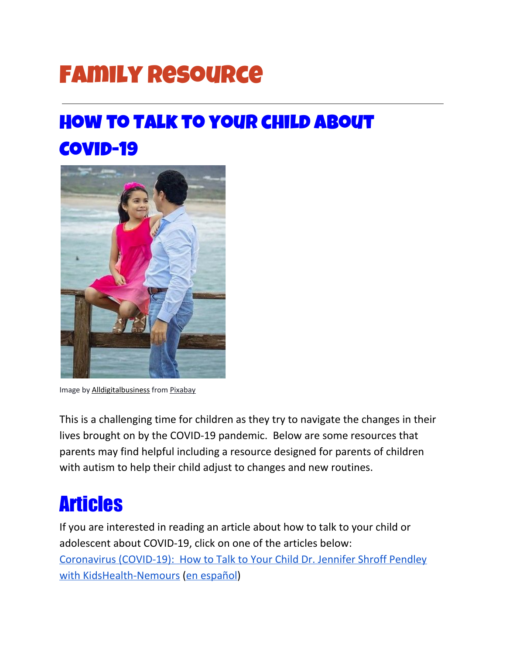# Family Resource

### How to Talk to your child about Covid-19



Image by **[Alldigitalbusiness](https://pixabay.com/photos/father-daughter-family-4630884/)** from **[Pixabay](https://pixabay.com/?utm_source=link-attribution&utm_medium=referral&utm_campaign=image&utm_content=1241817)** 

This is a challenging time for children as they try to navigate the changes in their lives brought on by the COVID-19 pandemic. Below are some resources that parents may find helpful including a resource designed for parents of children with autism to help their child adjust to changes and new routines.

### Articles

If you are interested in reading an article about how to talk to your child or adolescent about COVID-19, click on one of the articles below: [Coronavirus](https://kidshealth.org/en/parents/coronavirus-how-talk-child.html) (COVID-19): How to Talk to Your Child Dr. Jennifer Shroff Pendley with [KidsHealth-Nemours](https://kidshealth.org/en/parents/coronavirus-how-talk-child.html) (en [español](https://kidshealth.org/es/parents/coronavirus-how-talk-child-esp.html?WT.ac=pairedLink))